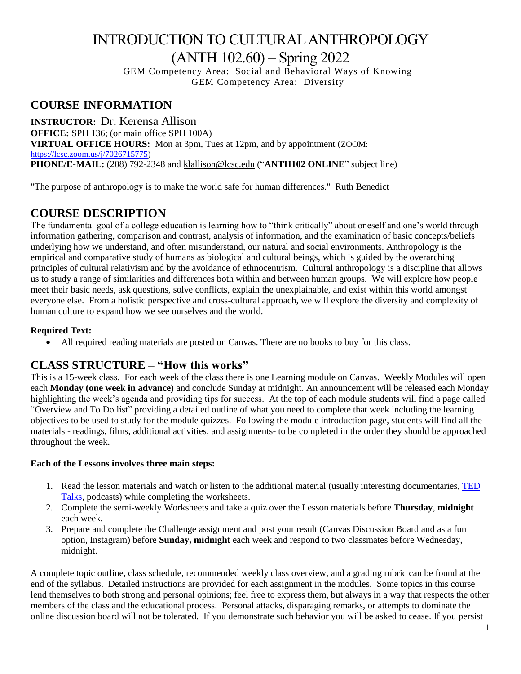# INTRODUCTION TO CULTURAL ANTHROPOLOGY (ANTH 102.60) – Spring 2022

GEM Competency Area: Social and Behavioral Ways of Knowing GEM Competency Area: Diversity

### **COURSE INFORMATION**

**INSTRUCTOR:** Dr. Kerensa Allison **OFFICE:** SPH 136; (or main office SPH 100A) **VIRTUAL OFFICE HOURS:** Mon at 3pm, Tues at 12pm, and by appointment (ZOOM: [https://lcsc.zoom.us/j/7026715775\)](https://lcsc.zoom.us/j/7026715775) **PHONE/E-MAIL:** (208) 792-2348 and [klallison@lcsc.edu](mailto:klallison@lcsc.edu) ("**ANTH102 ONLINE**" subject line)

"The purpose of anthropology is to make the world safe for human differences." Ruth Benedict

### **COURSE DESCRIPTION**

The fundamental goal of a college education is learning how to "think critically" about oneself and one's world through information gathering, comparison and contrast, analysis of information, and the examination of basic concepts/beliefs underlying how we understand, and often misunderstand, our natural and social environments. Anthropology is the empirical and comparative study of humans as biological and cultural beings, which is guided by the overarching principles of cultural relativism and by the avoidance of ethnocentrism. Cultural anthropology is a discipline that allows us to study a range of similarities and differences both within and between human groups. We will explore how people meet their basic needs, ask questions, solve conflicts, explain the unexplainable, and exist within this world amongst everyone else. From a holistic perspective and cross-cultural approach, we will explore the diversity and complexity of human culture to expand how we see ourselves and the world.

#### **Required Text:**

• All required reading materials are posted on Canvas. There are no books to buy for this class.

### **CLASS STRUCTURE – "How this works"**

This is a 15-week class.For each week of the class there is one Learning module on Canvas. Weekly Modules will open each **Monday (one week in advance)** and conclude Sunday at midnight. An announcement will be released each Monday highlighting the week's agenda and providing tips for success. At the top of each module students will find a page called "Overview and To Do list" providing a detailed outline of what you need to complete that week including the learning objectives to be used to study for the module quizzes. Following the module introduction page, students will find all the materials - readings, films, additional activities, and assignments- to be completed in the order they should be approached throughout the week.

#### **Each of the Lessons involves three main steps:**

- 1. Read the lesson materials and watch or listen to the additional material (usually interesting documentaries, [TED](https://www.ted.com/recommends?gclid=CjwKCAjwmf_4BRABEiwAGhDfSSZ3-4myvvWPMPYToRYjJeIjq8PFOYhgKUZrnNZLdRvmmbA9bQojsxoC1LoQAvD_BwE)  [Talks,](https://www.ted.com/recommends?gclid=CjwKCAjwmf_4BRABEiwAGhDfSSZ3-4myvvWPMPYToRYjJeIjq8PFOYhgKUZrnNZLdRvmmbA9bQojsxoC1LoQAvD_BwE) podcasts) while completing the worksheets.
- 2. Complete the semi-weekly Worksheets and take a quiz over the Lesson materials before **Thursday**, **midnight** each week.
- 3. Prepare and complete the Challenge assignment and post your result (Canvas Discussion Board and as a fun option, Instagram) before **Sunday, midnight** each week and respond to two classmates before Wednesday, midnight.

A complete topic outline, class schedule, recommended weekly class overview, and a grading rubric can be found at the end of the syllabus. Detailed instructions are provided for each assignment in the modules. Some topics in this course lend themselves to both strong and personal opinions; feel free to express them, but always in a way that respects the other members of the class and the educational process. Personal attacks, disparaging remarks, or attempts to dominate the online discussion board will not be tolerated. If you demonstrate such behavior you will be asked to cease. If you persist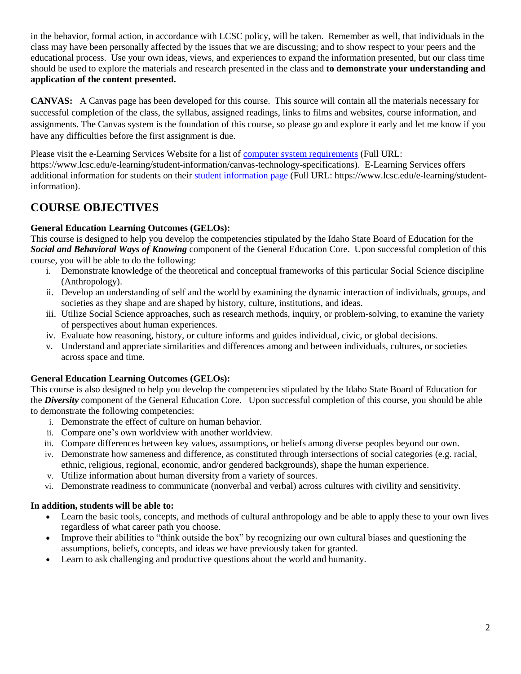in the behavior, formal action, in accordance with LCSC policy, will be taken. Remember as well, that individuals in the class may have been personally affected by the issues that we are discussing; and to show respect to your peers and the educational process. Use your own ideas, views, and experiences to expand the information presented, but our class time should be used to explore the materials and research presented in the class and **to demonstrate your understanding and application of the content presented.** 

**CANVAS:** A Canvas page has been developed for this course. This source will contain all the materials necessary for successful completion of the class, the syllabus, assigned readings, links to films and websites, course information, and assignments. The Canvas system is the foundation of this course, so please go and explore it early and let me know if you have any difficulties before the first assignment is due.

Please visit the e-Learning Services Website for a list of [computer system requirements](https://www.lcsc.edu/e-learning/student-information/canvas-technology-specifications) (Full URL: https://www.lcsc.edu/e-learning/student-information/canvas-technology-specifications). E-Learning Services offers additional information for students on their [student information page](https://www.lcsc.edu/e-learning/student-information/) (Full URL: https://www.lcsc.edu/e-learning/studentinformation).

# **COURSE OBJECTIVES**

### **General Education Learning Outcomes (GELOs):**

This course is designed to help you develop the competencies stipulated by the Idaho State Board of Education for the *Social and Behavioral Ways of Knowing* component of the General Education Core. Upon successful completion of this course, you will be able to do the following:

- i. Demonstrate knowledge of the theoretical and conceptual frameworks of this particular Social Science discipline (Anthropology).
- ii. Develop an understanding of self and the world by examining the dynamic interaction of individuals, groups, and societies as they shape and are shaped by history, culture, institutions, and ideas.
- iii. Utilize Social Science approaches, such as research methods, inquiry, or problem-solving, to examine the variety of perspectives about human experiences.
- iv. Evaluate how reasoning, history, or culture informs and guides individual, civic, or global decisions.
- v. Understand and appreciate similarities and differences among and between individuals, cultures, or societies across space and time.

#### **General Education Learning Outcomes (GELOs):**

This course is also designed to help you develop the competencies stipulated by the Idaho State Board of Education for the *Diversity* component of the General Education Core. Upon successful completion of this course, you should be able to demonstrate the following competencies:

- i. Demonstrate the effect of culture on human behavior.
- ii. Compare one's own worldview with another worldview.
- iii. Compare differences between key values, assumptions, or beliefs among diverse peoples beyond our own.
- iv. Demonstrate how sameness and difference, as constituted through intersections of social categories (e.g. racial, ethnic, religious, regional, economic, and/or gendered backgrounds), shape the human experience.
- v. Utilize information about human diversity from a variety of sources.
- vi. Demonstrate readiness to communicate (nonverbal and verbal) across cultures with civility and sensitivity.

#### **In addition, students will be able to:**

- Learn the basic tools, concepts, and methods of cultural anthropology and be able to apply these to your own lives regardless of what career path you choose.
- Improve their abilities to "think outside the box" by recognizing our own cultural biases and questioning the assumptions, beliefs, concepts, and ideas we have previously taken for granted.
- Learn to ask challenging and productive questions about the world and humanity.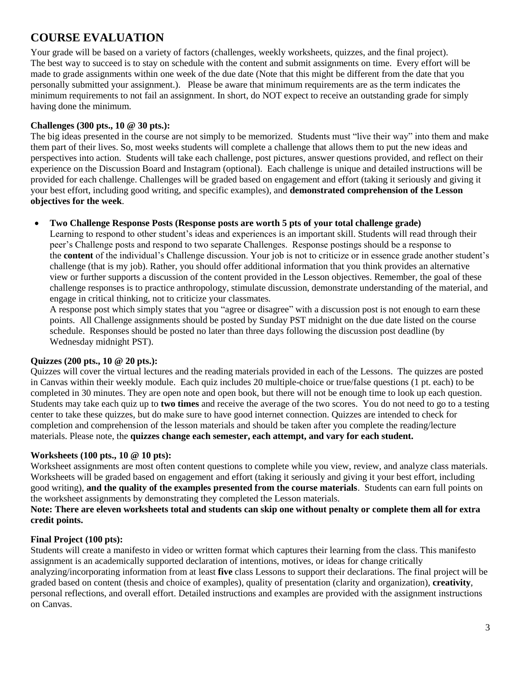### **COURSE EVALUATION**

Your grade will be based on a variety of factors (challenges, weekly worksheets, quizzes, and the final project). The best way to succeed is to stay on schedule with the content and submit assignments on time. Every effort will be made to grade assignments within one week of the due date (Note that this might be different from the date that you personally submitted your assignment.). Please be aware that minimum requirements are as the term indicates the minimum requirements to not fail an assignment. In short, do NOT expect to receive an outstanding grade for simply having done the minimum.

#### **Challenges (300 pts., 10 @ 30 pts.):**

The big ideas presented in the course are not simply to be memorized. Students must "live their way" into them and make them part of their lives. So, most weeks students will complete a challenge that allows them to put the new ideas and perspectives into action. Students will take each challenge, post pictures, answer questions provided, and reflect on their experience on the Discussion Board and Instagram (optional). Each challenge is unique and detailed instructions will be provided for each challenge. Challenges will be graded based on engagement and effort (taking it seriously and giving it your best effort, including good writing, and specific examples), and **demonstrated comprehension of the Lesson objectives for the week**.

#### • **Two Challenge Response Posts (Response posts are worth 5 pts of your total challenge grade)**

Learning to respond to other student's ideas and experiences is an important skill. Students will read through their peer's Challenge posts and respond to two separate Challenges. Response postings should be a response to the **content** of the individual's Challenge discussion. Your job is not to criticize or in essence grade another student's challenge (that is my job). Rather, you should offer additional information that you think provides an alternative view or further supports a discussion of the content provided in the Lesson objectives. Remember, the goal of these challenge responses is to practice anthropology, stimulate discussion, demonstrate understanding of the material, and engage in critical thinking, not to criticize your classmates.

A response post which simply states that you "agree or disagree" with a discussion post is not enough to earn these points. All Challenge assignments should be posted by Sunday PST midnight on the due date listed on the course schedule. Responses should be posted no later than three days following the discussion post deadline (by Wednesday midnight PST).

#### **Quizzes (200 pts., 10 @ 20 pts.):**

Quizzes will cover the virtual lectures and the reading materials provided in each of the Lessons. The quizzes are posted in Canvas within their weekly module. Each quiz includes 20 multiple-choice or true/false questions (1 pt. each) to be completed in 30 minutes. They are open note and open book, but there will not be enough time to look up each question. Students may take each quiz up to **two times** and receive the average of the two scores. You do not need to go to a testing center to take these quizzes, but do make sure to have good internet connection. Quizzes are intended to check for completion and comprehension of the lesson materials and should be taken after you complete the reading/lecture materials. Please note, the **quizzes change each semester, each attempt, and vary for each student.** 

#### **Worksheets (100 pts., 10 @ 10 pts):**

Worksheet assignments are most often content questions to complete while you view, review, and analyze class materials. Worksheets will be graded based on engagement and effort (taking it seriously and giving it your best effort, including good writing), **and the quality of the examples presented from the course materials**. Students can earn full points on the worksheet assignments by demonstrating they completed the Lesson materials.

#### **Note: There are eleven worksheets total and students can skip one without penalty or complete them all for extra credit points.**

#### **Final Project (100 pts):**

Students will create a manifesto in video or written format which captures their learning from the class. This manifesto assignment is an academically supported declaration of intentions, motives, or ideas for change critically analyzing/incorporating information from at least **five** class Lessons to support their declarations. The final project will be graded based on content (thesis and choice of examples), quality of presentation (clarity and organization), **creativity**, personal reflections, and overall effort. Detailed instructions and examples are provided with the assignment instructions on Canvas.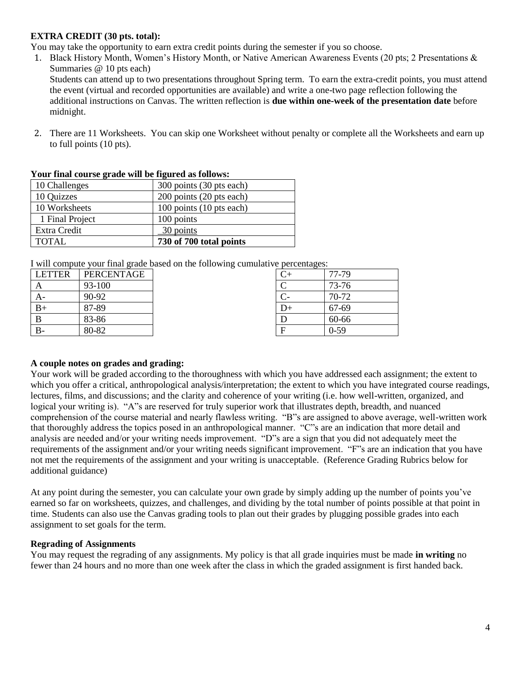#### **EXTRA CREDIT (30 pts. total):**

You may take the opportunity to earn extra credit points during the semester if you so choose.

1. Black History Month, Women's History Month, or Native American Awareness Events (20 pts; 2 Presentations & Summaries @ 10 pts each)

Students can attend up to two presentations throughout Spring term. To earn the extra-credit points, you must attend the event (virtual and recorded opportunities are available) and write a one-two page reflection following the additional instructions on Canvas. The written reflection is **due within one-week of the presentation date** before midnight.

2. There are 11 Worksheets. You can skip one Worksheet without penalty or complete all the Worksheets and earn up to full points (10 pts).

| Tour final course graue will be figured as follows. |                          |
|-----------------------------------------------------|--------------------------|
| 10 Challenges                                       | 300 points (30 pts each) |
| 10 Quizzes                                          | 200 points (20 pts each) |
| 10 Worksheets                                       | 100 points (10 pts each) |
| 1 Final Project                                     | 100 points               |
| Extra Credit                                        | 30 points                |
| <b>TOTAL</b>                                        | 730 of 700 total points  |

| Your final course grade will be figured as follows: |  |  |  |  |  |  |  |  |  |  |
|-----------------------------------------------------|--|--|--|--|--|--|--|--|--|--|
|-----------------------------------------------------|--|--|--|--|--|--|--|--|--|--|

I will compute your final grade based on the following cumulative percentages:

| <b>LETTER</b> | PERCENTAGE |    | 77-79    |
|---------------|------------|----|----------|
|               | 93-100     |    | 73-76    |
| $A-$          | 90-92      |    | 70-72    |
| $B+$          | 87-89      | レ+ | 67-69    |
|               | 83-86      |    | 60-66    |
| $B-$          | 80-82      | Е  | $0 - 59$ |

#### **A couple notes on grades and grading:**

Your work will be graded according to the thoroughness with which you have addressed each assignment; the extent to which you offer a critical, anthropological analysis/interpretation; the extent to which you have integrated course readings, lectures, films, and discussions; and the clarity and coherence of your writing (i.e. how well-written, organized, and logical your writing is). "A"s are reserved for truly superior work that illustrates depth, breadth, and nuanced comprehension of the course material and nearly flawless writing. "B"s are assigned to above average, well-written work that thoroughly address the topics posed in an anthropological manner. "C"s are an indication that more detail and analysis are needed and/or your writing needs improvement. "D"s are a sign that you did not adequately meet the requirements of the assignment and/or your writing needs significant improvement. "F"s are an indication that you have not met the requirements of the assignment and your writing is unacceptable. (Reference Grading Rubrics below for additional guidance)

At any point during the semester, you can calculate your own grade by simply adding up the number of points you've earned so far on worksheets, quizzes, and challenges, and dividing by the total number of points possible at that point in time. Students can also use the Canvas grading tools to plan out their grades by plugging possible grades into each assignment to set goals for the term.

#### **Regrading of Assignments**

You may request the regrading of any assignments. My policy is that all grade inquiries must be made **in writing** no fewer than 24 hours and no more than one week after the class in which the graded assignment is first handed back.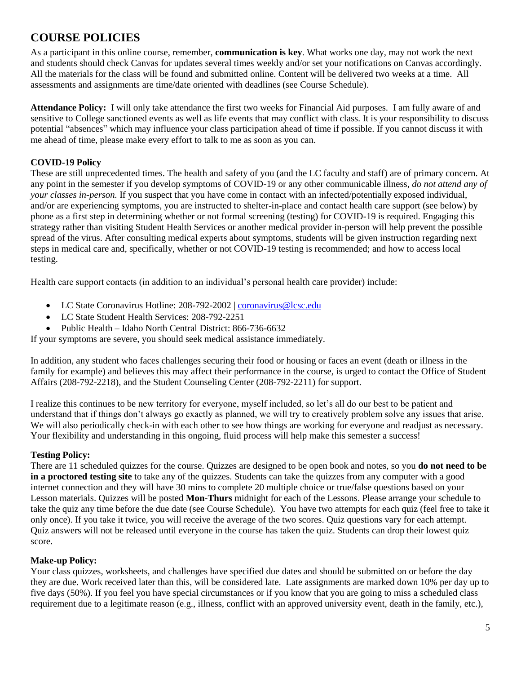### **COURSE POLICIES**

As a participant in this online course, remember, **communication is key**. What works one day, may not work the next and students should check Canvas for updates several times weekly and/or set your notifications on Canvas accordingly. All the materials for the class will be found and submitted online. Content will be delivered two weeks at a time. All assessments and assignments are time/date oriented with deadlines (see Course Schedule).

**Attendance Policy:** I will only take attendance the first two weeks for Financial Aid purposes. I am fully aware of and sensitive to College sanctioned events as well as life events that may conflict with class. It is your responsibility to discuss potential "absences" which may influence your class participation ahead of time if possible. If you cannot discuss it with me ahead of time, please make every effort to talk to me as soon as you can.

#### **COVID-19 Policy**

These are still unprecedented times. The health and safety of you (and the LC faculty and staff) are of primary concern. At any point in the semester if you develop symptoms of COVID-19 or any other communicable illness, *do not attend any of your classes in-person.* If you suspect that you have come in contact with an infected/potentially exposed individual, and/or are experiencing symptoms, you are instructed to shelter-in-place and contact health care support (see below) by phone as a first step in determining whether or not formal screening (testing) for COVID-19 is required. Engaging this strategy rather than visiting Student Health Services or another medical provider in-person will help prevent the possible spread of the virus. After consulting medical experts about symptoms, students will be given instruction regarding next steps in medical care and, specifically, whether or not COVID-19 testing is recommended; and how to access local testing.

Health care support contacts (in addition to an individual's personal health care provider) include:

- LC State Coronavirus Hotline: 208-792-2002 | [coronavirus@lcsc.edu](mailto:coronavirus@lcsc.edu)
- LC State Student Health Services: 208-792-2251
- Public Health Idaho North Central District: 866-736-6632

If your symptoms are severe, you should seek medical assistance immediately.

In addition, any student who faces challenges securing their food or housing or faces an event (death or illness in the family for example) and believes this may affect their performance in the course, is urged to contact the Office of Student Affairs (208-792-2218), and the Student Counseling Center (208-792-2211) for support.

I realize this continues to be new territory for everyone, myself included, so let's all do our best to be patient and understand that if things don't always go exactly as planned, we will try to creatively problem solve any issues that arise. We will also periodically check-in with each other to see how things are working for everyone and readjust as necessary. Your flexibility and understanding in this ongoing, fluid process will help make this semester a success!

#### **Testing Policy:**

There are 11 scheduled quizzes for the course. Quizzes are designed to be open book and notes, so you **do not need to be in a proctored testing site** to take any of the quizzes. Students can take the quizzes from any computer with a good internet connection and they will have 30 mins to complete 20 multiple choice or true/false questions based on your Lesson materials. Quizzes will be posted **Mon-Thurs** midnight for each of the Lessons. Please arrange your schedule to take the quiz any time before the due date (see Course Schedule). You have two attempts for each quiz (feel free to take it only once). If you take it twice, you will receive the average of the two scores. Quiz questions vary for each attempt. Quiz answers will not be released until everyone in the course has taken the quiz. Students can drop their lowest quiz score.

#### **Make-up Policy:**

Your class quizzes, worksheets, and challenges have specified due dates and should be submitted on or before the day they are due. Work received later than this, will be considered late. Late assignments are marked down 10% per day up to five days (50%). If you feel you have special circumstances or if you know that you are going to miss a scheduled class requirement due to a legitimate reason (e.g., illness, conflict with an approved university event, death in the family, etc.),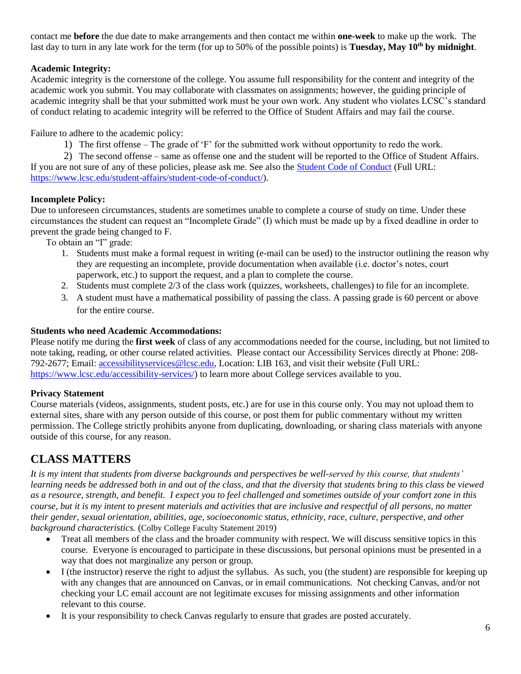contact me **before** the due date to make arrangements and then contact me within **one-week** to make up the work. The last day to turn in any late work for the term (for up to 50% of the possible points) is **Tuesday, May 10th by midnight**.

#### **Academic Integrity:**

Academic integrity is the cornerstone of the college. You assume full responsibility for the content and integrity of the academic work you submit. You may collaborate with classmates on assignments; however, the guiding principle of academic integrity shall be that your submitted work must be your own work. Any student who violates LCSC's standard of conduct relating to academic integrity will be referred to the Office of Student Affairs and may fail the course.

Failure to adhere to the academic policy:

1) The first offense – The grade of 'F' for the submitted work without opportunity to redo the work.

2) The second offense – same as offense one and the student will be reported to the Office of Student Affairs. If you are not sure of any of these policies, please ask me. See also the [Student Code of Conduct](https://www.lcsc.edu/student-affairs/student-code-of-conduct/) (Full URL: [https://www.lcsc.edu/student-affairs/student-code-of-conduct/\)](https://www.lcsc.edu/student-affairs/student-code-of-conduct/).

#### **Incomplete Policy:**

Due to unforeseen circumstances, students are sometimes unable to complete a course of study on time. Under these circumstances the student can request an "Incomplete Grade" (I) which must be made up by a fixed deadline in order to prevent the grade being changed to F.

To obtain an "I" grade:

- 1. Students must make a formal request in writing (e-mail can be used) to the instructor outlining the reason why they are requesting an incomplete, provide documentation when available (i.e. doctor's notes, court paperwork, etc.) to support the request, and a plan to complete the course.
- 2. Students must complete 2/3 of the class work (quizzes, worksheets, challenges) to file for an incomplete.
- 3. A student must have a mathematical possibility of passing the class. A passing grade is 60 percent or above for the entire course.

#### **Students who need Academic Accommodations:**

Please notify me during the **first week** of class of any accommodations needed for the course, including, but not limited to note taking, reading, or other course related activities. Please contact our Accessibility Services directly at Phone: 208- 792-2677; Email: [accessibilityservices@lcsc.edu,](mailto:accessibilityservices@lcsc.edu) Location: LIB 163, and visit their website (Full URL: [https://www.lcsc.edu/accessibility-services/\)](https://www.lcsc.edu/accessibility-services/) to learn more about College services available to you.

#### **Privacy Statement**

Course materials (videos, assignments, student posts, etc.) are for use in this course only. You may not upload them to external sites, share with any person outside of this course, or post them for public commentary without my written permission. The College strictly prohibits anyone from duplicating, downloading, or sharing class materials with anyone outside of this course, for any reason.

### **CLASS MATTERS**

*It is my intent that students from diverse backgrounds and perspectives be well-served by this course, that students' learning needs be addressed both in and out of the class, and that the diversity that students bring to this class be viewed as a resource, strength, and benefit. I expect you to feel challenged and sometimes outside of your comfort zone in this course, but it is my intent to present materials and activities that are inclusive and respectful of all persons, no matter their gender, sexual orientation, abilities, age, socioeconomic status, ethnicity, race, culture, perspective, and other background characteristics.* (Colby College Faculty Statement 2019)

- Treat all members of the class and the broader community with respect. We will discuss sensitive topics in this course. Everyone is encouraged to participate in these discussions, but personal opinions must be presented in a way that does not marginalize any person or group.
- I (the instructor) reserve the right to adjust the syllabus. As such, you (the student) are responsible for keeping up with any changes that are announced on Canvas, or in email communications. Not checking Canvas, and/or not checking your LC email account are not legitimate excuses for missing assignments and other information relevant to this course.
- It is your responsibility to check Canvas regularly to ensure that grades are posted accurately.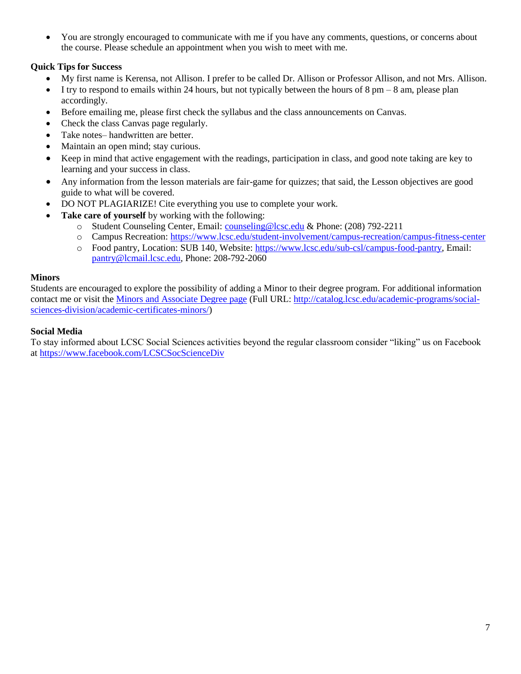• You are strongly encouraged to communicate with me if you have any comments, questions, or concerns about the course. Please schedule an appointment when you wish to meet with me.

#### **Quick Tips for Success**

- My first name is Kerensa, not Allison. I prefer to be called Dr. Allison or Professor Allison, and not Mrs. Allison.
- $\bullet$  I try to respond to emails within 24 hours, but not typically between the hours of 8 pm 8 am, please plan accordingly.
- Before emailing me, please first check the syllabus and the class announcements on Canvas.
- Check the class Canvas page regularly.
- Take notes– handwritten are better.
- Maintain an open mind; stay curious.
- Keep in mind that active engagement with the readings, participation in class, and good note taking are key to learning and your success in class.
- Any information from the lesson materials are fair-game for quizzes; that said, the Lesson objectives are good guide to what will be covered.
- DO NOT PLAGIARIZE! Cite everything you use to complete your work.
- **Take care of yourself** by working with the following:
	- o Student Counseling Center, Email: [counseling@lcsc.edu](mailto:counseling@lcsc.edu) & Phone: (208) 792-2211
	- o Campus Recreation:<https://www.lcsc.edu/student-involvement/campus-recreation/campus-fitness-center>
	- o Food pantry, Location: SUB 140, Website: [https://www.lcsc.edu/sub-csl/campus-food-pantry,](https://www.lcsc.edu/sub-csl/campus-food-pantry) Email: [pantry@lcmail.lcsc.edu,](mailto:pantry@lcmail.lcsc.edu) Phone: 208-792-2060

#### **Minors**

Students are encouraged to explore the possibility of adding a Minor to their degree program. For additional information contact me or visit the [Minors and Associate Degree page](http://catalog.lcsc.edu/academic-programs/social-sciences-division/academic-certificates-minors/) (Full URL: [http://catalog.lcsc.edu/academic-programs/social](http://catalog.lcsc.edu/academic-programs/social-sciences-division/academic-certificates-minors/)[sciences-division/academic-certificates-minors/\)](http://catalog.lcsc.edu/academic-programs/social-sciences-division/academic-certificates-minors/)

#### **Social Media**

To stay informed about LCSC Social Sciences activities beyond the regular classroom consider "liking" us on Facebook at<https://www.facebook.com/LCSCSocScienceDiv>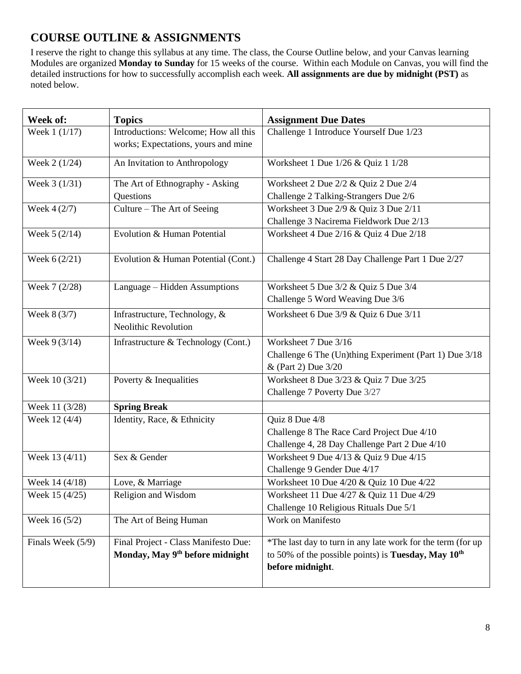### **COURSE OUTLINE & ASSIGNMENTS**

I reserve the right to change this syllabus at any time. The class, the Course Outline below, and your Canvas learning Modules are organized **Monday to Sunday** for 15 weeks of the course. Within each Module on Canvas, you will find the detailed instructions for how to successfully accomplish each week. **All assignments are due by midnight (PST)** as noted below.

| Week of:          | <b>Topics</b>                                                                       | <b>Assignment Due Dates</b>                                                                                                                 |
|-------------------|-------------------------------------------------------------------------------------|---------------------------------------------------------------------------------------------------------------------------------------------|
| Week 1 (1/17)     | Introductions: Welcome; How all this<br>works; Expectations, yours and mine         | Challenge 1 Introduce Yourself Due 1/23                                                                                                     |
| Week 2 (1/24)     | An Invitation to Anthropology                                                       | Worksheet 1 Due 1/26 & Quiz 1 1/28                                                                                                          |
| Week 3 (1/31)     | The Art of Ethnography - Asking<br>Questions                                        | Worksheet 2 Due 2/2 & Quiz 2 Due 2/4<br>Challenge 2 Talking-Strangers Due 2/6                                                               |
| Week $4(2/7)$     | Culture – The Art of Seeing                                                         | Worksheet 3 Due 2/9 & Quiz 3 Due 2/11<br>Challenge 3 Nacirema Fieldwork Due 2/13                                                            |
| Week $5(2/14)$    | Evolution & Human Potential                                                         | Worksheet 4 Due 2/16 & Quiz 4 Due 2/18                                                                                                      |
| Week 6 (2/21)     | Evolution & Human Potential (Cont.)                                                 | Challenge 4 Start 28 Day Challenge Part 1 Due 2/27                                                                                          |
| Week 7 (2/28)     | Language - Hidden Assumptions                                                       | Worksheet 5 Due 3/2 & Quiz 5 Due 3/4<br>Challenge 5 Word Weaving Due 3/6                                                                    |
| Week 8 (3/7)      | Infrastructure, Technology, &<br>Neolithic Revolution                               | Worksheet 6 Due 3/9 & Quiz 6 Due 3/11                                                                                                       |
| Week 9 (3/14)     | Infrastructure & Technology (Cont.)                                                 | Worksheet 7 Due 3/16<br>Challenge 6 The (Un)thing Experiment (Part 1) Due 3/18<br>& (Part 2) Due 3/20                                       |
| Week 10 (3/21)    | Poverty & Inequalities                                                              | Worksheet 8 Due 3/23 & Quiz 7 Due 3/25<br>Challenge 7 Poverty Due 3/27                                                                      |
| Week 11 (3/28)    | <b>Spring Break</b>                                                                 |                                                                                                                                             |
| Week 12 (4/4)     | Identity, Race, & Ethnicity                                                         | Quiz 8 Due 4/8<br>Challenge 8 The Race Card Project Due 4/10<br>Challenge 4, 28 Day Challenge Part 2 Due 4/10                               |
| Week 13 (4/11)    | Sex & Gender                                                                        | Worksheet 9 Due 4/13 & Quiz 9 Due 4/15<br>Challenge 9 Gender Due 4/17                                                                       |
| Week 14 (4/18)    | Love, & Marriage                                                                    | Worksheet 10 Due 4/20 & Quiz 10 Due 4/22                                                                                                    |
| Week 15 (4/25)    | Religion and Wisdom                                                                 | Worksheet 11 Due 4/27 & Quiz 11 Due 4/29<br>Challenge 10 Religious Rituals Due 5/1                                                          |
| Week 16 (5/2)     | The Art of Being Human                                                              | Work on Manifesto                                                                                                                           |
| Finals Week (5/9) | Final Project - Class Manifesto Due:<br>Monday, May 9 <sup>th</sup> before midnight | *The last day to turn in any late work for the term (for up<br>to 50% of the possible points) is Tuesday, May $10^{th}$<br>before midnight. |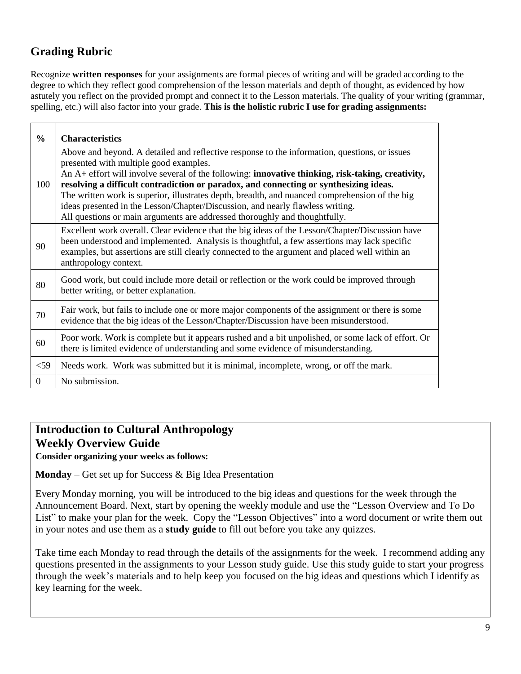# **Grading Rubric**

Recognize **written responses** for your assignments are formal pieces of writing and will be graded according to the degree to which they reflect good comprehension of the lesson materials and depth of thought, as evidenced by how astutely you reflect on the provided prompt and connect it to the Lesson materials. The quality of your writing (grammar, spelling, etc.) will also factor into your grade. **This is the holistic rubric I use for grading assignments:**

| $\frac{0}{0}$ | <b>Characteristics</b>                                                                                                                                                                                                                                                                                                                                                                                                                                                                                                                                                                                  |
|---------------|---------------------------------------------------------------------------------------------------------------------------------------------------------------------------------------------------------------------------------------------------------------------------------------------------------------------------------------------------------------------------------------------------------------------------------------------------------------------------------------------------------------------------------------------------------------------------------------------------------|
| 100           | Above and beyond. A detailed and reflective response to the information, questions, or issues<br>presented with multiple good examples.<br>An A+ effort will involve several of the following: innovative thinking, risk-taking, creativity,<br>resolving a difficult contradiction or paradox, and connecting or synthesizing ideas.<br>The written work is superior, illustrates depth, breadth, and nuanced comprehension of the big<br>ideas presented in the Lesson/Chapter/Discussion, and nearly flawless writing.<br>All questions or main arguments are addressed thoroughly and thoughtfully. |
| 90            | Excellent work overall. Clear evidence that the big ideas of the Lesson/Chapter/Discussion have<br>been understood and implemented. Analysis is thoughtful, a few assertions may lack specific<br>examples, but assertions are still clearly connected to the argument and placed well within an<br>anthropology context.                                                                                                                                                                                                                                                                               |
| 80            | Good work, but could include more detail or reflection or the work could be improved through<br>better writing, or better explanation.                                                                                                                                                                                                                                                                                                                                                                                                                                                                  |
| 70            | Fair work, but fails to include one or more major components of the assignment or there is some<br>evidence that the big ideas of the Lesson/Chapter/Discussion have been misunderstood.                                                                                                                                                                                                                                                                                                                                                                                                                |
| 60            | Poor work. Work is complete but it appears rushed and a bit unpolished, or some lack of effort. Or<br>there is limited evidence of understanding and some evidence of misunderstanding.                                                                                                                                                                                                                                                                                                                                                                                                                 |
| $<$ 59        | Needs work. Work was submitted but it is minimal, incomplete, wrong, or off the mark.                                                                                                                                                                                                                                                                                                                                                                                                                                                                                                                   |
| $\Omega$      | No submission.                                                                                                                                                                                                                                                                                                                                                                                                                                                                                                                                                                                          |

## **Introduction to Cultural Anthropology Weekly Overview Guide**

**Consider organizing your weeks as follows:**

**Monday** – Get set up for Success & Big Idea Presentation

Every Monday morning, you will be introduced to the big ideas and questions for the week through the Announcement Board. Next, start by opening the weekly module and use the "Lesson Overview and To Do List" to make your plan for the week. Copy the "Lesson Objectives" into a word document or write them out in your notes and use them as a **study guide** to fill out before you take any quizzes.

Take time each Monday to read through the details of the assignments for the week. I recommend adding any questions presented in the assignments to your Lesson study guide. Use this study guide to start your progress through the week's materials and to help keep you focused on the big ideas and questions which I identify as key learning for the week.